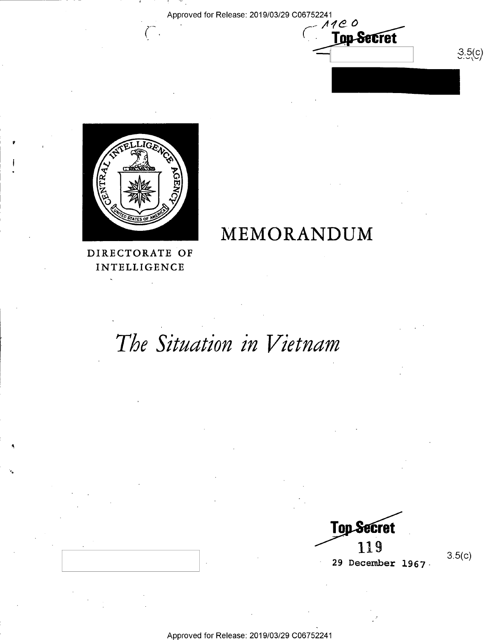Approved for Release: 2019/03/29 C06752241  $1100$ 



 $(\quad \cdot$ 

MEMORANDUM

DIRECTORATE OF INTELLIGENCE

## The Situation in Vietnam

**Top Secret** 119

**Top-Secret** 

 $3.5(c)$ 

29 December 1967.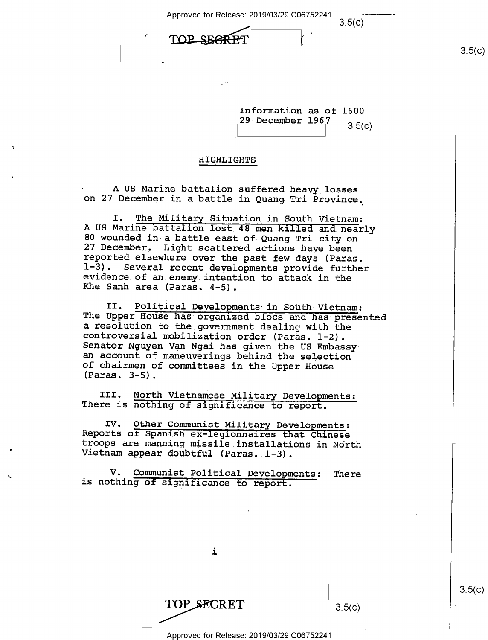| Approved for Release: 2019/03/29 C06752241 | 3.5(c) |
|--------------------------------------------|--------|
| ٠.<br>.                                    |        |
|                                            |        |

Information as of 1600 29 December 1967  $3.5(c)$ 

### HIGHLIGHTS

<sup>A</sup>US Marine battalion suffered heavy losses on 27 December in a battle in Quang Tri Province.

I. The Military Situation in South Vietnam:<br>A US Marine battalion lost 48 men killed and nearly<br>80 wounded in a battle east of Quang Tri city on 27 December. Light scattered actions have been<br>reported elsewhere over the past few days (Paras.<br>1-3). Several recent developments provide further<br>evidence of an enemy intention to attack in the<br>Khe Sanh area (Paras. 4-5).

II. Political Developments in South Vietnam:<br>The Upper House has organized blocs and has presented<br>a resolution to the government dealing with the<br>controversial mobilization order (Paras. 1-2).<br>Senator Nguyen Van Ngai has (Paras. 3-5).

III. North Vietnamese Military Developments:<br>There is nothing of significance to report.

IV. Other Communist Military Developments:<br>Reports of Spanish ex-legionnaires that Chinese<br>troops are manning missile installations in North Vietnam appear doubtful (Paras. 1-3).

V. Communist Political Developments: There is nothing of significance to report.

i

**TOP SECRET** 

 $3.5(c)$ 

 $3.5(c)$ 

#### Approved for Release: 2019/03/29 C06752241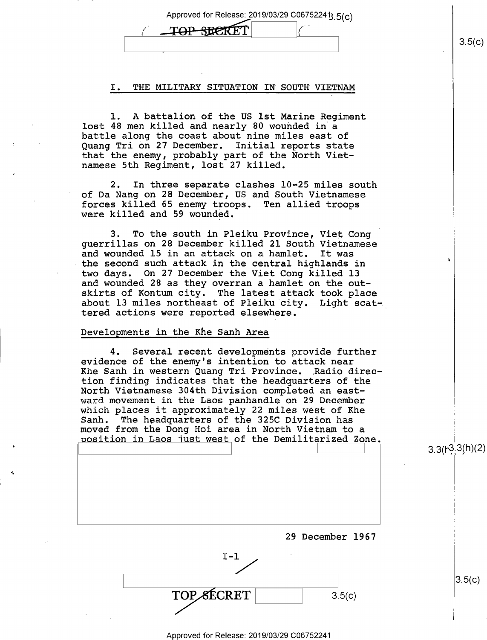Approved for Release: 2019/03/29 C067522413<sub>.5(C)</sub><br> **TOP SECRET** 

### I. THE MILITARY SITUATION IN SOUTH VIETNAM

l. A battalion of the US lst Marine Regiment lost 48 men killed and nearly 80 wounded in'a battle along the coast about nine miles east of Quang Tri on 27 December. Initial reports state that the enemy, probably part of the North Vietnamese 5th Regiment, lost 27 killed.

2. In three separate clashes  $10-25$  miles south of Da Nang on 28 December, US and South Vietnamese forces killed 65 enemy troops. Ten allied troops were killed and 59 wounded.

3. To the south in Pleiku Province, Viet Cong guerrillas on 28 December killed 21 South Vietnamese and wounded 15 in an attack on a hamlet. It was the second such attack in the central highlands in two days. On 27 December the Viet Cong killed l3 and wounded 28 as they overran a hamlet on the outskirts of Kontum city. The latest attack took place about l3 miles northeast of Pleiku city. Light scattered actions were reported elsewhere.

### Developments in the Khe Sanh Area

4. Several recent developments provide further evidence of the enemy's intention to attack near Khe Sanh in western Quang Tri Province. .Radio direction finding indicates that the headquarters of the North Vietnamese 304th Division completed an eastward movement in the Laos panhandle on 29 December which places it approximately 22 miles west of Khe<br>Sanh. The headquarters of the 325C Division has The headquarters of the 325C Division has moved from the Dong Hoi area in North Vietnam to a position in Laos just west of the Demilitarized Zone.

 $3.3(r3.3(h)(2))$ 

'|

29 December 1967

I-1  $\begin{array}{c|c} \texttt{I-I} & \texttt{\ } \end{array}$  $TOP\_s \varepsilon \text{CRET}$  a.5(c)

 $3.5(c)$ 

Approved for Release: 2019/03/29 C06752241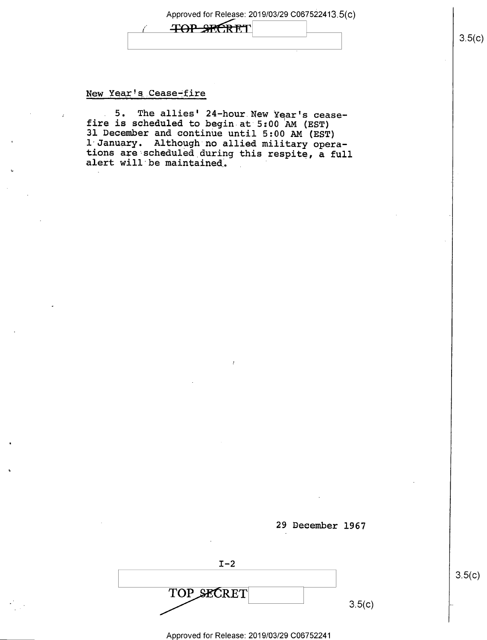# Approved for Release: 2019/03/29 C067522413.5(c)<br>
TOP SECRET

### New ¥ear's.Cease+fire

5. The allies' 24-hour New Year's cease-<br>fire is scheduled to begin at 5:00 AM (EST)<br>31 December and continue until 5:00 AM (EST)<br>1 January. Although no allied military operations are scheduled during this respite, a full alert will be maintained.



 $I-2$ TOP SECRET  $3.5(c)$ 

Approved for Release: 2019/03/29 C06752241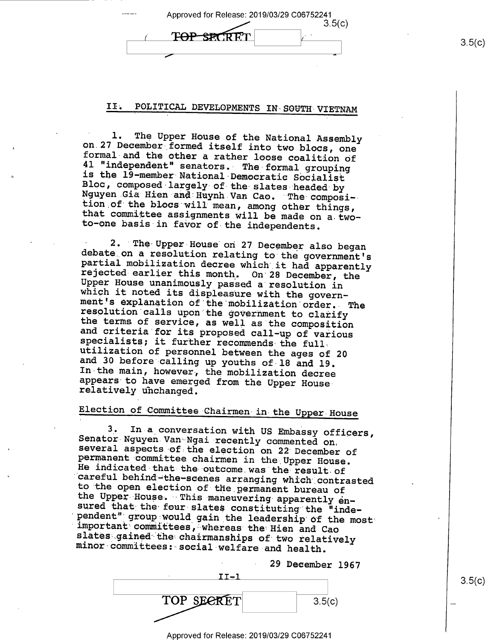| Approved for Release: 2019/03/29 C06752241 |        |  |
|--------------------------------------------|--------|--|
|                                            | 3.5(c) |  |
| <b>TAP STATT</b> T                         |        |  |
|                                            |        |  |

### II. POLITICAL DEVELOPMENTS IN SOUTH VIETNAM

1. The Upper House of the National Assembly<br>on 27 December formed itself into two blocs, one<br>formal and the other a rather loose coalition of<br>41 "independent" senators. The formal grouping<br>is the 19-member National Democra

2. The Upper House on 27 December also began<br>debate on a resolution relating to the government's<br>partial mobilization decree which it had apparently<br>rejected earlier this month. On 28 December, the<br>Upper House unanimously

### Election of Committee Chairmen in the Upper House

3. In a conversation with US Embassy officers,<br>Senator Nguyen Van Ngai recently commented on<br>several aspects of the election on 22 December of<br>permanent committee chairmen in the Upper House.<br>He indicated that the outcome

|            | 29 December 1967 |        |
|------------|------------------|--------|
| $TT-1$     |                  | 3.5(c) |
| TOP SECRET | 3.5(c)           |        |

Approved for Release: 2019/03/29 C06752241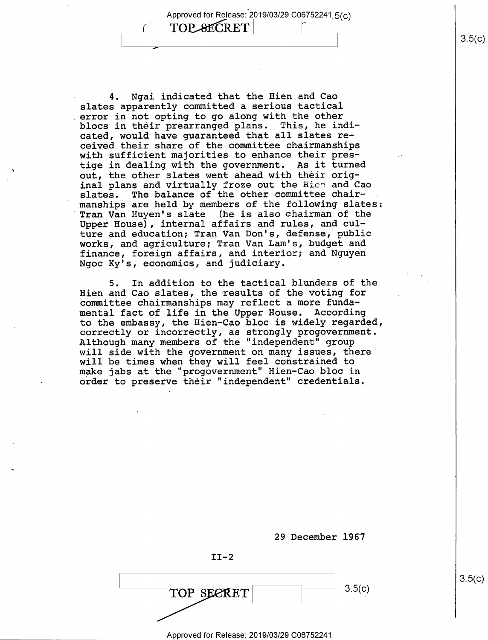Approved for Release: 2019/03/29 C06752241<sub>.5(C)</sub> TOP-8ECRET

4. Ngai indicated that the Hien and Cao slates apparently committed a serious tactical error in not opting to go along with the other blocs in their prearranged plans. This, he indicated, would have guaranteed that all slates received their share of the committee chairmanships with sufficient majorities to enhance their prestige in dealing with the government. As it turned out, the other slates went ahead with their original plans and virtually froze out the Hien and Cao slates. The balance of the other committee chairmanships are held by members of the following slates: Tran Van Huyen's slate (he is also chairman of the Upper House), internal affairs and rules, and culture and education; Tran Van Don's, defense, public works, and agriculture; Tran Van Lam's, budget and finance, foreign affairs, and interior; and Nguyen Ngoc Ky's, economics, and judiciary.

5. In addition to the tactical blunders of the Hien and Cao slates, the results of the voting for committee chairmanships may reflect a more fundamental fact of life in the Upper House. to the embassy, the Hien—Cao bloc is widely regarded, correctly or incorrectly, as strongly progovernment. Although many members of the "independent" group will side with the government on many issues, there' will be times when they will feel constrained to make jabs at the "progovernment" Hien-Cao bloc in order to preserve their "independent" credentials.

> 29 December 1967  $II-2$  $3.5(c)$ TOP SECRET

> > Approved for Release: 2019/03/29 C06752241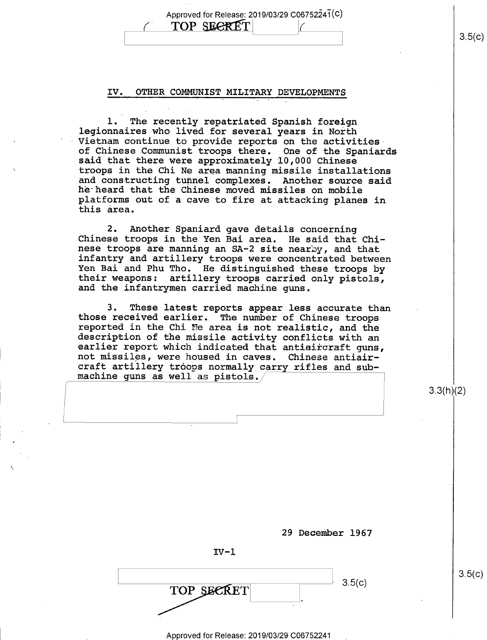Approved for Release: 2019/03/29 C06752241(C) TOP SEGRET \ s.5(¢)

### IV. OTHER COMMUNIST MILITARY DEVELOPMENTS

l. The recently repatriated Spanish foreign<br>legionnaires who lived for several years in North Vietnam continue to provide reports on the activities<br>of Chinese Communist troops there. One of the Spaniards said that there were approximately 10,000 Chinese troops in the Chi Ne area manning missile installations<br>and constructing tunnel complexes. Another source said he heard that the Chinese moved missiles on mobile platforms out of a cave to fire at attacking planes in this area.

2. Another Spaniard gave details concerning<br>Chinese troops in the Yen Bai area. He said that Chi-<br>nese troops are manning an SA-2 site nearby, and that infantry and artillery troops were concentrated between<br>Yen Bai and Phu Tho. He distinguished these troops by their weapons: artillery troops carried only pistols, and the infantrymen carried machine guns.

3. These latest reports appear less accurate than<br>those received earlier. The number of Chinese troops<br>reported in the Chi Ne area is not realistic, and the<br>description of the missile activity conflicts with an<br>earlier rep craft artillery troops normally carry rifles and sub-<br>machine guns as well as pistols.

 $3.3(h)(2)$ 

29 December 1967  $IV-1$  $3.5(c)$  $\overline{\phantom{a}}$  . The contract of the contract of the contract of the contract of the contract of the contract of the contract of the contract of the contract of the contract of the contract of the contract of the contract of TOP SECRET

 $3.5(c)$ 

Approved for Release: 2019/03/29 C06752241